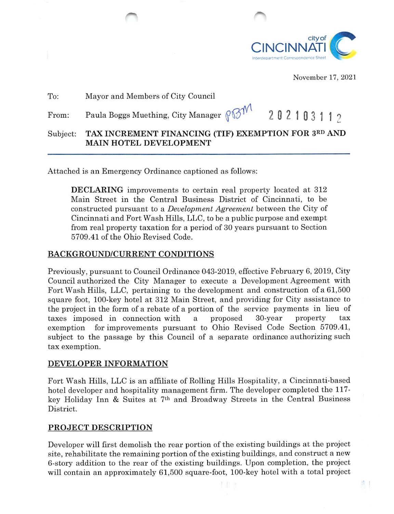

November 17, 2021

排工

| To:      | Mayor and Members of City Council                                              |
|----------|--------------------------------------------------------------------------------|
| From:    | Paula Boggs Muething, City Manager $\beta\beta\gamma\gamma\gamma$<br>202103112 |
| Subject: | TAX INCREMENT FINANCING (TIF) EXEMPTION FOR 3RD AND<br>MAIN HOTEL DEVELOPMENT  |

Attached is an Emergency Ordinance captioned as follows:

DECLARING improvements to certain real property located at 312 Main Street in the Central Business District of Cincinnati, to be constructed pursuant to a Development Agreement between the City of Cincinnati and Fort Wash Hills, LLC, to be a public purpose and exempt from real property taxation for a period of 30 years pursuant to Section 5709.41 of the Ohio Revised Code.

### BACKGROUND/CURRENT CONDITIONS

Previously, pursuant to Council Ordinance 043-2019, effective February 6, 2019, City Council authorized the City Manager to execute a Development Agreement with Fort Wash Hills, LLC, pertaining to the development and construction of a 61,500 square foot, 100-key hotel at 812 Main Street, and providing for City assistance to the project in the form of a rebate of a portion of the service payments in lieu of taxes imposed in connection with a proposed 30-year property tax exemption for improvements pursuant to Ohio Revised Code Section 5709.41, subject to the passage by this Council of a separate ordinance authorizing such tax exemption.

#### DEVELOPER INFORMATION

Fort Wash Hills, LLC is an affiliate of Rolling Hills Hospitality, a Cincinnati-based hotel developer and hospitality management firm. The developer completed the 117 key Holiday Inn & Suites at  $7<sup>th</sup>$  and Broadway Streets in the Central Business District.

# PROJECT DESCRIPTION

Developer will first demolish the rear portion of the existing buildings at the project site, rehabilitate the remaining portion of the existing buildings, and construct a new 6-story addition to the rear of the existing buildings. Upon completion, the project will contain an approximately 61,500 square-foot, 100-key hotel with a total project

111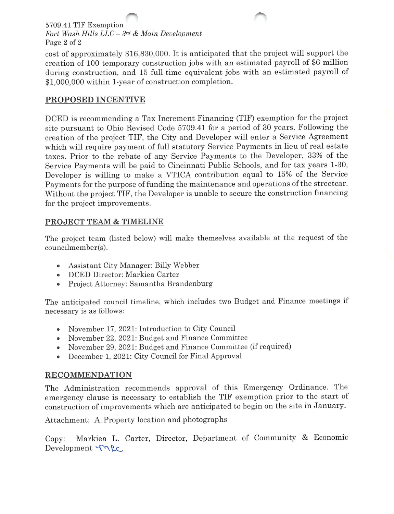# 5709.41 TIF Exemption Fort Wash Hills  $LLC - 3^{rd}$  & Main Development Page 2 of 2

cost of approximately \$16,830,000. It is anticipated that the project will support the creation of 100 temporary construction jobs with an estimated payroll of \$6 million during construction, and 15 full-time equivalent jobs with an estimated payroll of \$1,000,000 within 1-year of construction completion.

# PROPOSED INCENTIVE

DCED is recommending a Tax Increment Financing (TIF) exemption for the project site pursuant to Ohio Revised Code 5709.41 for a period of 30 years. Following the creation of the project TIF, the City and Developer will enter a Service Agreement which will require payment of full statutory Service Payments in lieu of real estate taxes. Prior to the rebate of any Service Payments to the Developer, 33% of the Service Payments will be paid to Cincinnati Public Schools, and for tax years 1-30, Developer is willing to make a VTICA contribution equal to 15% of the Service Payments for the purpose of funding the maintenance and operations of the streetcar. Without the project TIF, the Developer is unable to secure the construction financing for the project improvements.

# PROJECT TEAM & TIMELINE

The project team (listed below) will make themselves available at the request of the councilmember(s).

- Assistant City Manager: Billy Webber
- DCED Director: Markiea Carter
- Project Attorney: Samantha Brandenburg

The anticipated council timeline, which includes two Budget and Finance meetings if necessary is as follows:

- November 17, 2021: Introduction to City Council
- November 22, 2021: Budget and Finance Committee
- November 29, 2021: Budget and Finance Committee (if required)
- December 1, 2021: City Council for Final Approval

# RECOMMENDATION

The Administration recommends approval of this Emergency Ordinance. The emergency clause is necessary to establish the TIF exemption prior to the start of construction of improvements which are anticipated to begin on the site in January.

Attachment: A. Property location and photographs

Copy: Markiea L. Carter, Director, Department of Community & Economic Development Trec